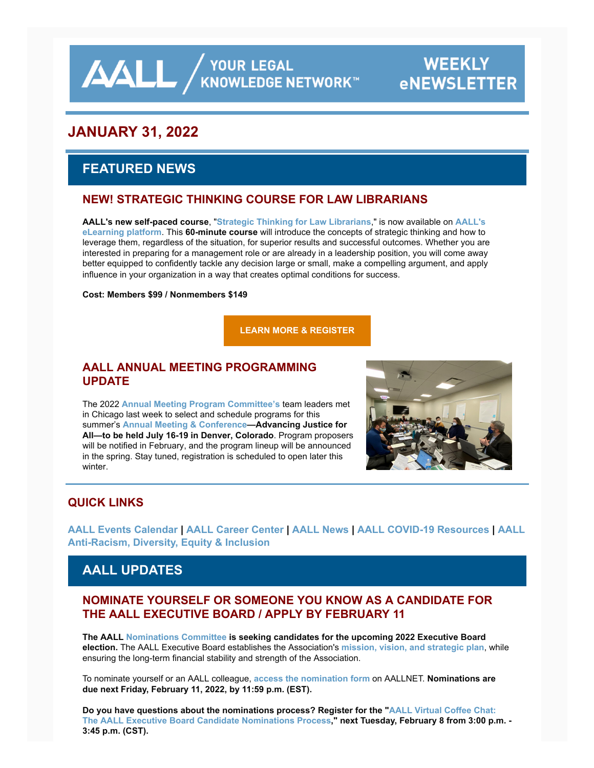**AALL** / YOUR LEGAL KNOWLEDGE NETWORK

# **WEEKLY eNEWSLETTER**

# **JANUARY 31, 2022**

# **FEATURED NEWS**

### **NEW! STRATEGIC THINKING COURSE FOR LAW LIBRARIANS**

**AALL's new self-paced course**, "**[Strategic Thinking for Law Librarians](https://elearning.aallnet.org/products/strategic-thinking-for-law-librarians)**," is now available on **AALL's eLearning platform**. This **60-minute course** [will introduce the concepts of strategic thinking and how to](https://elearning.aallnet.org/) leverage them, regardless of the situation, for superior results and successful outcomes. Whether you are interested in preparing for a management role or are already in a leadership position, you will come away better equipped to confidently tackle any decision large or small, make a compelling argument, and apply influence in your organization in a way that creates optimal conditions for success.

#### **Cost: Members \$99 / Nonmembers \$149**

**[LEARN MORE & REGISTER](https://elearning.aallnet.org/products/strategic-thinking-for-law-librarians)**

#### **AALL ANNUAL MEETING PROGRAMMING UPDATE**

The 2022 **[Annual Meeting Program Committee's](https://www.aallnet.org/conference/resources/proposing-a-program/ampc-content-area-teams/)** team leaders met in Chicago last week to select and schedule programs for this summer's **[Annual Meeting & Conference—](https://www.aallnet.org/conference/)Advancing Justice for All—to be held July 16-19 in Denver, Colorado**. Program proposers will be notified in February, and the program lineup will be announced in the spring. Stay tuned, registration is scheduled to open later this winter.



# **QUICK LINKS**

**[AALL Events Calenda](https://www.aallnet.org/forms/MeetingCalendar/)[r |](https://www.aallnet.org/about-us/press-room/anti-racism-diversity-equity-inclusion/) [AALL Career Cente](https://careers.aallnet.org/)[r |](https://www.aallnet.org/about-us/press-room/anti-racism-diversity-equity-inclusion/) [AALL News](https://www.aallnet.org/about-us/press-room/news/) [| A](https://www.aallnet.org/about-us/press-room/anti-racism-diversity-equity-inclusion/)[ALL COVID-19 Resources](https://www.aallnet.org/about-us/press-room/coronavirus/) [| AALL](https://www.aallnet.org/about-us/press-room/anti-racism-diversity-equity-inclusion/) Anti-Racism, Diversity, Equity & Inclusion**

# **AALL UPDATES**

#### **NOMINATE YOURSELF OR SOMEONE YOU KNOW AS A CANDIDATE FOR THE AALL EXECUTIVE BOARD / APPLY BY FEBRUARY 11**

**The AALL [Nominations Committee](https://www.aallnet.org/about-us/who-we-are/committees-juries/nominations-committee/) is seeking candidates for the upcoming 2022 Executive Board election.** The AALL Executive Board establishes the Association's **[mission, vision, and strategic plan](https://www.aallnet.org/about-us/what-we-do/strategic-plan/)**, while ensuring the long-term financial stability and strength of the Association.

To nominate yourself or an AALL colleague, **[access the nomination form](https://www.aallnet.org/about-us/who-we-are/executive-board/nominations-elections/board-nomination-form/)** on AALLNET. **Nominations are due next Friday, February 11, 2022, by 11:59 p.m. (EST).**

**Do you have questions about the nominations process? Register for the "AALL Virtual Coffee Chat: [The AALL Executive Board Candidate Nominations Process," next Tuesday, February 8 from 3:00 p.](https://elearning.aallnet.org/products/virtual-coffee-chat-the-aall-executive-board-candidate-nominations-process)m. - 3:45 p.m. (CST).**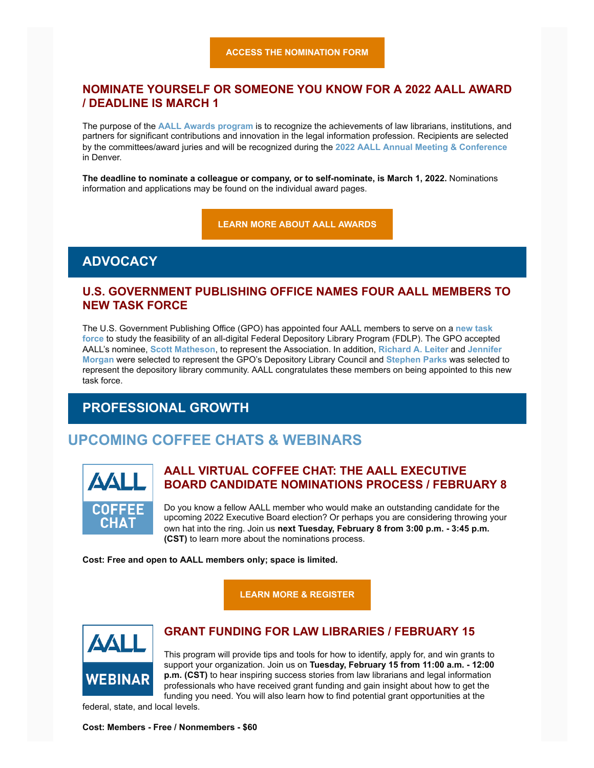#### **NOMINATE YOURSELF OR SOMEONE YOU KNOW FOR A 2022 AALL AWARD / DEADLINE IS MARCH 1**

The purpose of the **[AALL Awards program](https://www.aallnet.org/community/recognition/awards-program/)** is to recognize the achievements of law librarians, institutions, and partners for significant contributions and innovation in the legal information profession. Recipients are selected by the committees/award juries and will be recognized during the **[2022 AALL Annual Meeting & Conference](https://www.aallnet.org/conference/)** in Denver.

**The deadline to nominate a colleague or company, or to self-nominate, is March 1, 2022.** Nominations information and applications may be found on the individual award pages.

**[LEARN MORE ABOUT AALL AWARDS](https://www.aallnet.org/community/recognition/awards-program/)**

#### **ADVOCACY**

#### **U.S. GOVERNMENT PUBLISHING OFFICE NAMES FOUR AALL MEMBERS TO NEW TASK FORCE**

The U.S. Government Publishing Office (GPO) has appointed four AALL members to serve on a **new task force** [to study the feasibility of an all-digital Federal Depository Library Program \(FDLP\). The GPO accepte](https://www.gpo.gov/who-we-are/news-media/news-and-press-releases/gpo-director-appoints-task-force-to-study-making-gpo-library-program-all-digital)d AALL's nominee, **[Scott Matheson](https://www.aallnet.org/members_only/membership/IndividualFormPublicMembers/detail?id=201000F674E)**, to represent the Association. In addition, **[Richard A. Leiter](https://www.aallnet.org/members_only/membership/IndividualFormPublicMembers/detail?id=2010003D0FB)** and **Jennifer Morgan** [were selected to represent the GPO's Depository Library Council and](https://www.aallnet.org/members_only/membership/IndividualFormPublicMembers/detail?id=201001012A9) **[Stephen Parks](https://www.aallnet.org/members_only/membership/IndividualFormPublicMembers/detail?id=2010017F2D0)** was selected to represent the depository library community. AALL congratulates these members on being appointed to this new task force.

# **PROFESSIONAL GROWTH**

# **UPCOMING COFFEE CHATS & WEBINARS**



#### **AALL VIRTUAL COFFEE CHAT: THE AALL EXECUTIVE BOARD CANDIDATE NOMINATIONS PROCESS / FEBRUARY 8**

Do you know a fellow AALL member who would make an outstanding candidate for the upcoming 2022 Executive Board election? Or perhaps you are considering throwing your own hat into the ring. Join us **next Tuesday, February 8 from 3:00 p.m. - 3:45 p.m. (CST)** to learn more about the nominations process.

**Cost: Free and open to AALL members only; space is limited.**

**[LEARN MORE & REGISTER](https://elearning.aallnet.org/products/virtual-coffee-chat-the-aall-executive-board-candidate-nominations-process)**



#### **GRANT FUNDING FOR LAW LIBRARIES / FEBRUARY 15**

This program will provide tips and tools for how to identify, apply for, and win grants to support your organization. Join us on **Tuesday, February 15 from 11:00 a.m. - 12:00 p.m. (CST)** to hear inspiring success stories from law librarians and legal information professionals who have received grant funding and gain insight about how to get the funding you need. You will also learn how to find potential grant opportunities at the

federal, state, and local levels.

#### **Cost: Members - Free / Nonmembers - \$60**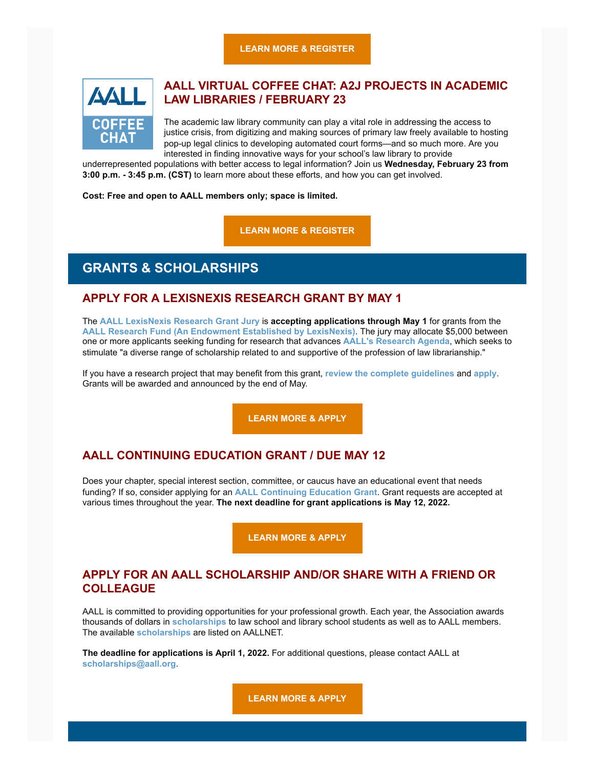**[LEARN MORE & REGISTER](https://elearning.aallnet.org/products/grant-funding-for-law-libraries)**



#### **AALL VIRTUAL COFFEE CHAT: A2J PROJECTS IN ACADEMIC LAW LIBRARIES / FEBRUARY 23**

The academic law library community can play a vital role in addressing the access to justice crisis, from digitizing and making sources of primary law freely available to hosting pop-up legal clinics to developing automated court forms—and so much more. Are you interested in finding innovative ways for your school's law library to provide

underrepresented populations with better access to legal information? Join us **Wednesday, February 23 from 3:00 p.m. - 3:45 p.m. (CST)** to learn more about these efforts, and how you can get involved.

**Cost: Free and open to AALL members only; space is limited.**

**[LEARN MORE & REGISTER](https://elearning.aallnet.org/products/virtual-coffee-chat-a2j-projects-in-academic-law-libraries#tab-product_tab_overview)**

# **GRANTS & SCHOLARSHIPS**

#### **APPLY FOR A LEXISNEXIS RESEARCH GRANT BY MAY 1**

The **[AALL LexisNexis Research Grant Jury](https://www.aallnet.org/about-us/who-we-are/committees-juries/lexisnexis-research-grant-jury/)** is **accepting applications through May 1** for grants from the **[AALL Research Fund \(An Endowment Established by LexisNexis\)](https://www.aallnet.org/education-training/grants/research-grants/)**. The jury may allocate \$5,000 between one or more applicants seeking funding for research that advances **[AALL's](https://www.aallnet.org/education-training/grants/research-grants/research-agenda/) [Research Agenda](https://www.aallnet.org/education-training/grants/research-grants/research-agenda/)**, which seeks to stimulate "a diverse range of scholarship related to and supportive of the profession of law librarianship."

If you have a research project that may benefit from this grant, **[review the complete guidelines](https://www.aallnet.org/education-training/grants/research-grants/)** and **[apply](https://www.aallnet.org/wp-content/uploads/2021/10/aall-grant-researchfund.pdf)**. Grants will be awarded and announced by the end of May.

**[LEARN MORE & APPLY](https://www.aallnet.org/wp-content/uploads/2021/10/aall-grant-researchfund.pdf)**

#### **AALL CONTINUING EDUCATION GRANT / DUE MAY 12**

Does your chapter, special interest section, committee, or caucus have an educational event that needs funding? If so, consider applying for an **[AALL Continuing Education Grant](https://www.aallnet.org/education-training/grants/cpe-program-grants/)**. Grant requests are accepted at various times throughout the year. **The next deadline for grant applications is May 12, 2022.**

**[LEARN MORE & APPLY](https://www.aallnet.org/education-training/grants/cpe-program-grants/)**

#### **APPLY FOR AN AALL SCHOLARSHIP AND/OR SHARE WITH A FRIEND OR COLLEAGUE**

AALL is committed to providing opportunities for your professional growth. Each year, the Association awards thousands of dollars in **[scholarships](https://www.aallnet.org/education-training/scholarships/)** to law school and library school students as well as to AALL members. The available **[scholarships](https://www.aallnet.org/education-training/scholarships/)** are listed on AALLNET.

**The deadline for applications is April 1, 2022.** For additional questions, please contact AALL at **[scholarships@aall.org](mailto:scholarships@aall.org)**.

**[LEARN MORE & APPLY](https://www.aallnet.org/education-training/scholarships/)**